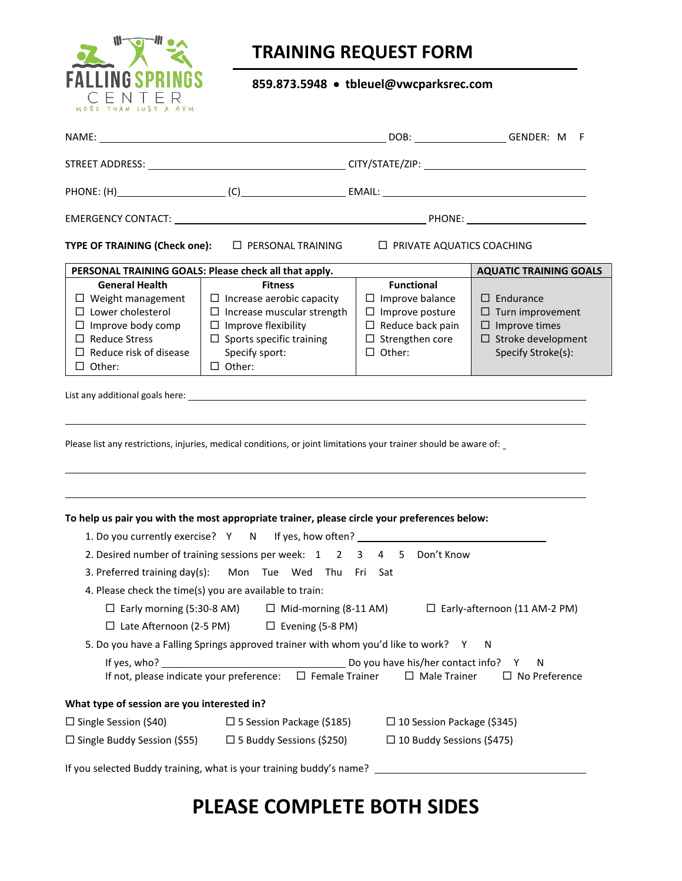

## **TRAINING REQUEST FORM**

#### **859.873.5948** • **tbleuel@vwcparksrec.com**

| TYPE OF TRAINING (Check one): □ PERSONAL TRAINING<br>$\Box$ PRIVATE AQUATICS COACHING                                                                                               |                                                                                                                                                                                             |                                                                                                                                             |                                                                                                                        |
|-------------------------------------------------------------------------------------------------------------------------------------------------------------------------------------|---------------------------------------------------------------------------------------------------------------------------------------------------------------------------------------------|---------------------------------------------------------------------------------------------------------------------------------------------|------------------------------------------------------------------------------------------------------------------------|
|                                                                                                                                                                                     | PERSONAL TRAINING GOALS: Please check all that apply.                                                                                                                                       |                                                                                                                                             | <b>AQUATIC TRAINING GOALS</b>                                                                                          |
| <b>General Health</b><br>$\Box$ Weight management<br>$\Box$ Lower cholesterol<br>$\Box$ Improve body comp<br>$\Box$ Reduce Stress<br>$\Box$ Reduce risk of disease<br>$\Box$ Other: | <b>Fitness</b><br>$\Box$ Increase aerobic capacity<br>$\Box$ Increase muscular strength<br>$\Box$ Improve flexibility<br>$\Box$ Sports specific training<br>Specify sport:<br>$\Box$ Other: | <b>Functional</b><br>$\Box$ Improve balance<br>$\Box$ Improve posture<br>$\Box$ Reduce back pain<br>$\Box$ Strengthen core<br>$\Box$ Other: | $\Box$ Endurance<br>$\Box$ Turn improvement<br>$\Box$ Improve times<br>$\Box$ Stroke development<br>Specify Stroke(s): |
| Please list any restrictions, injuries, medical conditions, or joint limitations your trainer should be aware of: _                                                                 |                                                                                                                                                                                             |                                                                                                                                             |                                                                                                                        |
| To help us pair you with the most appropriate trainer, please circle your preferences below:<br>1. Do you currently exercise? Y N If yes, how often? ___________________________    |                                                                                                                                                                                             |                                                                                                                                             |                                                                                                                        |
| 2. Desired number of training sessions per week: 1 2 3 4 5 Don't Know                                                                                                               |                                                                                                                                                                                             |                                                                                                                                             |                                                                                                                        |
| 3. Preferred training day(s): Mon Tue Wed Thu Fri Sat                                                                                                                               |                                                                                                                                                                                             |                                                                                                                                             |                                                                                                                        |
| 4. Please check the time(s) you are available to train:                                                                                                                             |                                                                                                                                                                                             |                                                                                                                                             |                                                                                                                        |
| $\Box$ Early morning (5:30-8 AM) $\Box$ Mid-morning (8-11 AM)<br>$\Box$ Early-afternoon (11 AM-2 PM)                                                                                |                                                                                                                                                                                             |                                                                                                                                             |                                                                                                                        |
| $\Box$ Late Afternoon (2-5 PM) $\Box$ Evening (5-8 PM)                                                                                                                              |                                                                                                                                                                                             |                                                                                                                                             |                                                                                                                        |
| 5. Do you have a Falling Springs approved trainer with whom you'd like to work? Y<br>N                                                                                              |                                                                                                                                                                                             |                                                                                                                                             |                                                                                                                        |
| If yes, who?<br>If not, please indicate your preference:                                                                                                                            | $\Box$ Female Trainer                                                                                                                                                                       | Do you have his/her contact info?<br>$\Box$ Male Trainer                                                                                    | N<br>Y<br>$\square$ No Preference                                                                                      |
| What type of session are you interested in?                                                                                                                                         |                                                                                                                                                                                             |                                                                                                                                             |                                                                                                                        |
| $\Box$ Single Session (\$40)                                                                                                                                                        | $\Box$ 5 Session Package (\$185)                                                                                                                                                            | $\Box$ 10 Session Package (\$345)                                                                                                           |                                                                                                                        |
| $\Box$ Single Buddy Session (\$55)                                                                                                                                                  | $\Box$ 5 Buddy Sessions (\$250)                                                                                                                                                             | $\Box$ 10 Buddy Sessions (\$475)                                                                                                            |                                                                                                                        |
| If you selected Buddy training, what is your training buddy's name?                                                                                                                 |                                                                                                                                                                                             |                                                                                                                                             |                                                                                                                        |

# **PLEASE COMPLETE BOTH SIDES**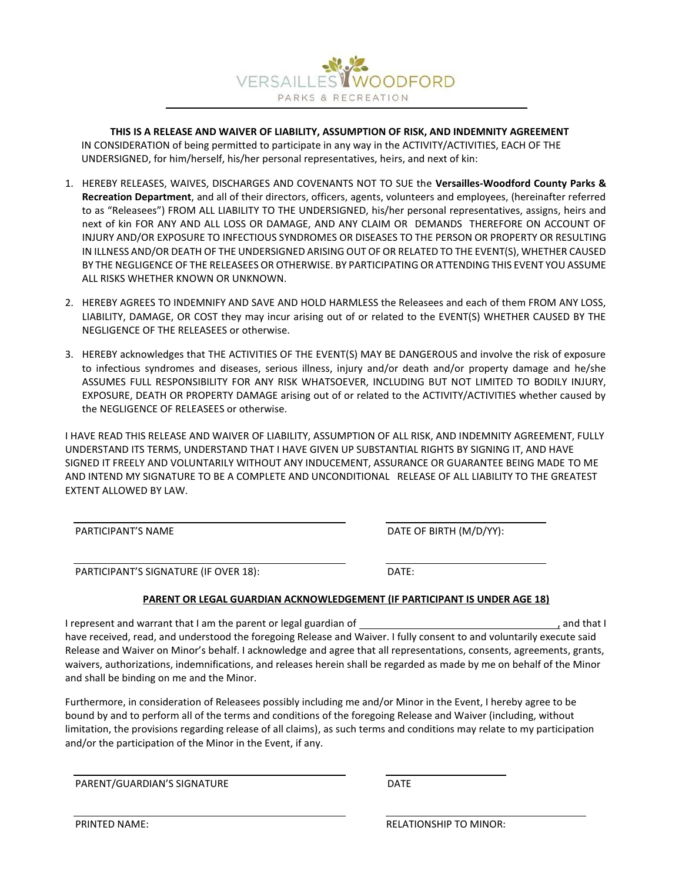

**THIS IS A RELEASE AND WAIVER OF LIABILITY, ASSUMPTION OF RISK, AND INDEMNITY AGREEMENT**  IN CONSIDERATION of being permitted to participate in any way in the ACTIVITY/ACTIVITIES, EACH OF THE UNDERSIGNED, for him/herself, his/her personal representatives, heirs, and next of kin:

- 1. HEREBY RELEASES, WAIVES, DISCHARGES AND COVENANTS NOT TO SUE the **Versailles‐Woodford County Parks & Recreation Department**, and all of their directors, officers, agents, volunteers and employees, (hereinafter referred to as "Releasees") FROM ALL LIABILITY TO THE UNDERSIGNED, his/her personal representatives, assigns, heirs and next of kin FOR ANY AND ALL LOSS OR DAMAGE, AND ANY CLAIM OR DEMANDS THEREFORE ON ACCOUNT OF INJURY AND/OR EXPOSURE TO INFECTIOUS SYNDROMES OR DISEASES TO THE PERSON OR PROPERTY OR RESULTING IN ILLNESS AND/OR DEATH OF THE UNDERSIGNED ARISING OUT OF OR RELATED TO THE EVENT(S), WHETHER CAUSED BY THE NEGLIGENCE OF THE RELEASEES OR OTHERWISE. BY PARTICIPATING OR ATTENDING THIS EVENT YOU ASSUME ALL RISKS WHETHER KNOWN OR UNKNOWN.
- 2. HEREBY AGREES TO INDEMNIFY AND SAVE AND HOLD HARMLESS the Releasees and each of them FROM ANY LOSS, LIABILITY, DAMAGE, OR COST they may incur arising out of or related to the EVENT(S) WHETHER CAUSED BY THE NEGLIGENCE OF THE RELEASEES or otherwise.
- 3. HEREBY acknowledges that THE ACTIVITIES OF THE EVENT(S) MAY BE DANGEROUS and involve the risk of exposure to infectious syndromes and diseases, serious illness, injury and/or death and/or property damage and he/she ASSUMES FULL RESPONSIBILITY FOR ANY RISK WHATSOEVER, INCLUDING BUT NOT LIMITED TO BODILY INJURY, EXPOSURE, DEATH OR PROPERTY DAMAGE arising out of or related to the ACTIVITY/ACTIVITIES whether caused by the NEGLIGENCE OF RELEASEES or otherwise.

I HAVE READ THIS RELEASE AND WAIVER OF LIABILITY, ASSUMPTION OF ALL RISK, AND INDEMNITY AGREEMENT, FULLY UNDERSTAND ITS TERMS, UNDERSTAND THAT I HAVE GIVEN UP SUBSTANTIAL RIGHTS BY SIGNING IT, AND HAVE SIGNED IT FREELY AND VOLUNTARILY WITHOUT ANY INDUCEMENT, ASSURANCE OR GUARANTEE BEING MADE TO ME AND INTEND MY SIGNATURE TO BE A COMPLETE AND UNCONDITIONAL RELEASE OF ALL LIABILITY TO THE GREATEST EXTENT ALLOWED BY LAW.

 $\overline{a}$ PARTICIPANT'S NAME DATE OF BIRTH (M/D/YY):

l PARTICIPANT'S SIGNATURE (IF OVER 18): DATE:

#### **PARENT OR LEGAL GUARDIAN ACKNOWLEDGEMENT (IF PARTICIPANT IS UNDER AGE 18)**

I represent and warrant that I am the parent or legal guardian of  $\frac{1}{2}$  and  $\frac{1}{2}$  and that I  $\frac{1}{2}$  and that I have received, read, and understood the foregoing Release and Waiver. I fully consent to and voluntarily execute said Release and Waiver on Minor's behalf. I acknowledge and agree that all representations, consents, agreements, grants, waivers, authorizations, indemnifications, and releases herein shall be regarded as made by me on behalf of the Minor and shall be binding on me and the Minor.

Furthermore, in consideration of Releasees possibly including me and/or Minor in the Event, I hereby agree to be bound by and to perform all of the terms and conditions of the foregoing Release and Waiver (including, without limitation, the provisions regarding release of all claims), as such terms and conditions may relate to my participation and/or the participation of the Minor in the Event, if any.

PARENT/GUARDIAN'S SIGNATURE DATE

PRINTED NAME: THE RELATIONSHIP TO MINOR:

l